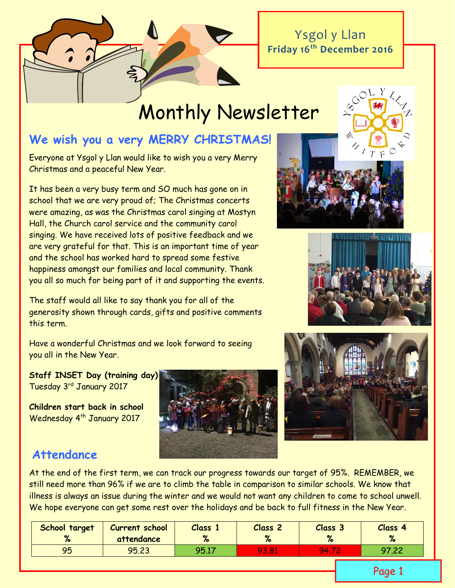Ysgol y Llan **Friday 16th December 2016**

# Monthly Newsletter

# **We wish you a very MERRY CHRISTMAS!**

Everyone at Ysgol y Llan would like to wish you a very Merry Christmas and a peaceful New Year.

It has been a very busy term and SO much has gone on in school that we are very proud of; The Christmas concerts were amazing, as was the Christmas carol singing at Mostyn Hall, the Church carol service and the community carol singing. We have received lots of positive feedback and we are very grateful for that. This is an important time of year and the school has worked hard to spread some festive happiness amongst our families and local community. Thank you all so much for being part of it and supporting the events.

The staff would all like to say thank you for all of the generosity shown through cards, gifts and positive comments this term.

Have a wonderful Christmas and we look forward to seeing you all in the New Year.

**Staff INSET Day (training day)** Tuesday 3rd January 2017

**Children start back in school**  Wednesday 4<sup>th</sup> January 2017









# **Attendance**

At the end of the first term, we can track our progress towards our target of 95%. REMEMBER, we still need more than 96% if we are to climb the table in comparison to similar schools. We know that illness is always an issue during the winter and we would not want any children to come to school unwell. We hope everyone can get some rest over the holidays and be back to full fitness in the New Year.

| School target<br>% | <b>Current school</b><br>attendance | Class 1 | <b>Class 2</b> | Class <sub>3</sub><br>67 | Class 4 |
|--------------------|-------------------------------------|---------|----------------|--------------------------|---------|
| 95                 | 95.23                               | 95.17   | 93.81          | 94.                      | 97.22   |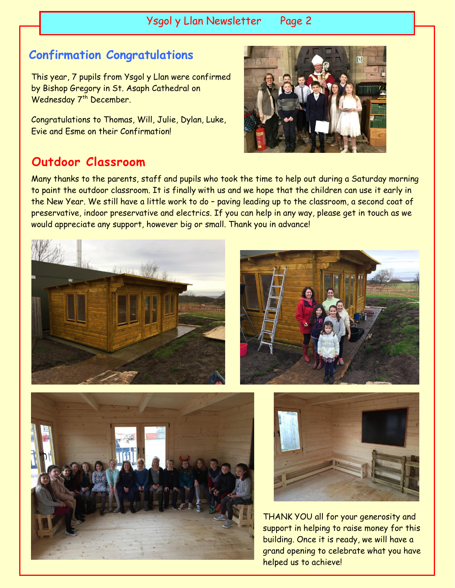Ysgol y Llan Newsletter Page 2

# **Confirmation Congratulations**

This year, 7 pupils from Ysgol y Llan were confirmed by Bishop Gregory in St. Asaph Cathedral on Wednesday 7<sup>th</sup> December.

Congratulations to Thomas, Will, Julie, Dylan, Luke, Evie and Esme on their Confirmation!

# **Outdoor Classroom**

Many thanks to the parents, staff and pupils who took the time to help out during a Saturday morning to paint the outdoor classroom. It is finally with us and we hope that the children can use it early in the New Year. We still have a little work to do – paving leading up to the classroom, a second coat of preservative, indoor preservative and electrics. If you can help in any way, please get in touch as we would appreciate any support, however big or small. Thank you in advance!









THANK YOU all for your generosity and support in helping to raise money for this building. Once it is ready, we will have a grand opening to celebrate what you have helped us to achieve!